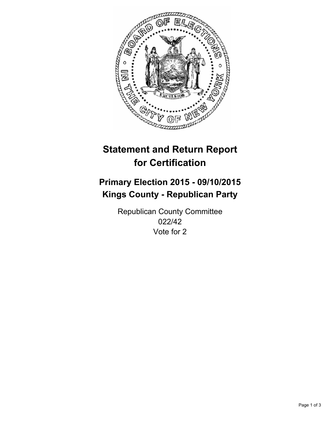

# **Statement and Return Report for Certification**

## **Primary Election 2015 - 09/10/2015 Kings County - Republican Party**

Republican County Committee 022/42 Vote for 2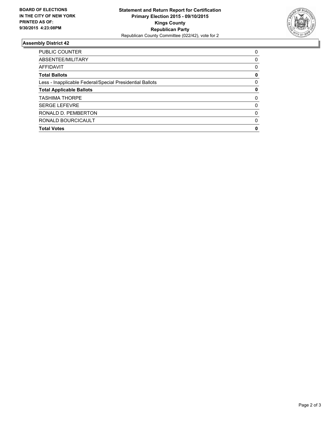

#### **Assembly District 42**

| <b>PUBLIC COUNTER</b>                                    | 0        |
|----------------------------------------------------------|----------|
| ABSENTEE/MILITARY                                        | 0        |
| <b>AFFIDAVIT</b>                                         | 0        |
| <b>Total Ballots</b>                                     | 0        |
| Less - Inapplicable Federal/Special Presidential Ballots | 0        |
| <b>Total Applicable Ballots</b>                          | 0        |
| <b>TASHIMA THORPE</b>                                    | 0        |
| <b>SERGE LEFEVRE</b>                                     | 0        |
| RONALD D. PEMBERTON                                      | $\Omega$ |
| RONALD BOURCICAULT                                       | 0        |
| <b>Total Votes</b>                                       | 0        |